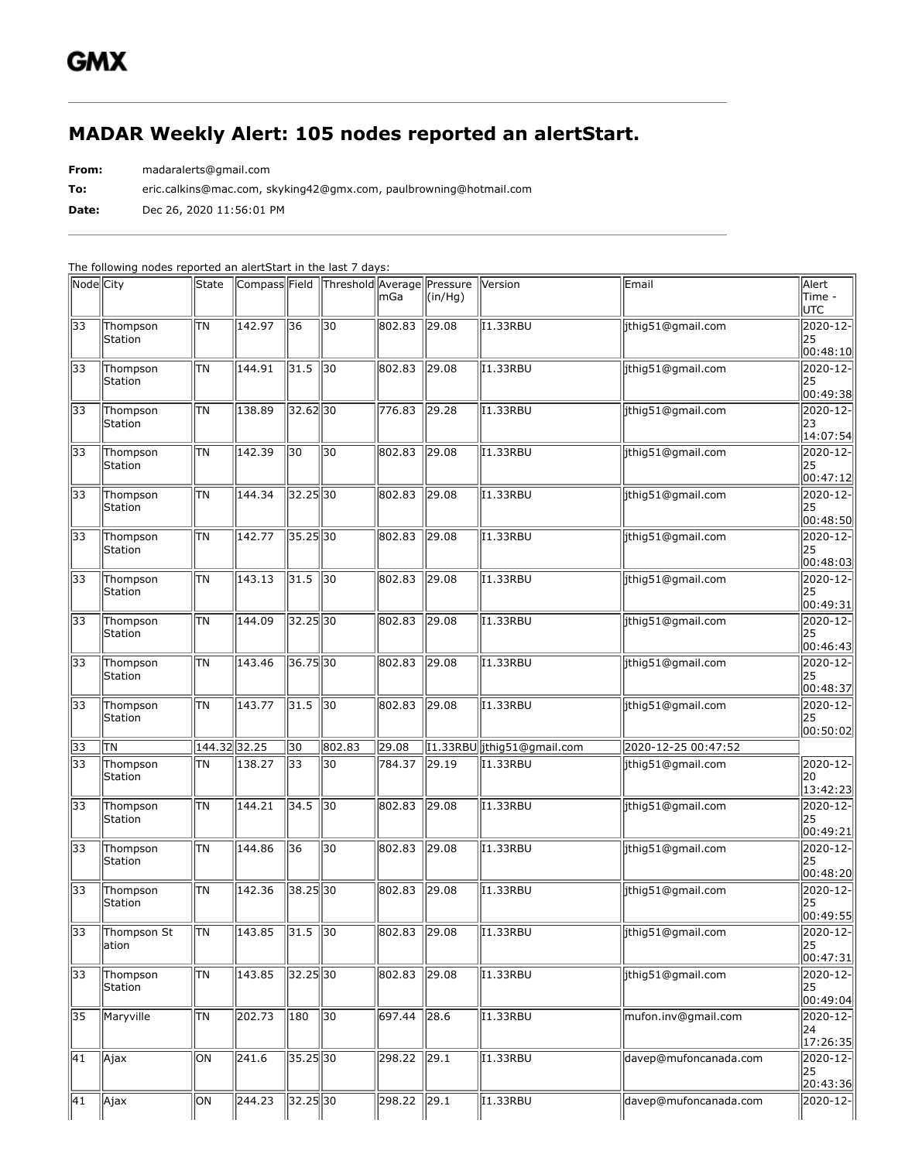## **MADAR Weekly Alert: 105 nodes reported an alertStart.**

**From:** madaralerts@gmail.com

**To:** eric.calkins@mac.com, skyking42@gmx.com, paulbrowning@hotmail.com

**Date:** Dec 26, 2020 11:56:01 PM

The following nodes reported an alertStart in the last 7 days:

| Node City                          |                      | State        |        |                        | Compass Field Threshold Average Pressure | lmGa                  | $\vert$ (in/Hg) | Version                           | Email                 | Alert<br>Time -<br><b>UTC</b>     |
|------------------------------------|----------------------|--------------|--------|------------------------|------------------------------------------|-----------------------|-----------------|-----------------------------------|-----------------------|-----------------------------------|
| 33                                 | Thompson<br>Station  | TΝ           | 142.97 | 36                     | 30                                       | 802.83                | 29.08           | I1.33RBU                          | jthig51@gmail.com     | 2020-12-<br>25<br> 00:48:10       |
| 33                                 | Thompson<br>Station  | ΙTΝ          | 144.91 | 31.5                   | $\sqrt{30}$                              | 802.83                | 29.08           | I1.33RBU                          | jthig51@gmail.com     | 2020-12-<br>25<br>00:49:38        |
| 33                                 | Thompson<br>Station  | lτn          | 138.89 | 32.62 30               |                                          | 776.83                | $\sqrt{29.28}$  | I1.33RBU                          | jthig51@gmail.com     | 2020-12-<br>23<br> 14:07:54       |
| 33                                 | Thompson<br>Station  | ΙTΝ          | 142.39 | 30                     | 30                                       | 802.83                | $\sqrt{29.08}$  | I1.33RBU                          | ithig51@gmail.com     | 2020-12-<br>25<br>00:47:12        |
| 33                                 | Thompson<br>Station  | <b>TN</b>    | 144.34 | 32.25 30               |                                          | 802.83                | 29.08           | I1.33RBU                          | jthig51@gmail.com     | 2020-12-<br>25<br> 00:48:50       |
| 33                                 | Thompson<br>Station  | ΠN           | 142.77 | $35.25$ 30             |                                          | 802.83                | 29.08           | I1.33RBU                          | jthig51@gmail.com     | $ 2020 - 12 -$<br>25<br> 00:48:03 |
| 33                                 | Thompson<br>Station  | ΙTΝ          | 143.13 | 31.5                   | 30                                       | 802.83                | 29.08           | I1.33RBU                          | ithiq51@gmail.com     | 2020-12-<br>25<br>00:49:31        |
| 33                                 | Thompson<br>Station  | TΝ           | 144.09 | $32.25$ 30             |                                          | 802.83                | $\sqrt{29.08}$  | I1.33RBU                          | ithig51@gmail.com     | 2020-12-<br>25<br> 00:46:43       |
| 33                                 | Thompson<br>Station  | TΝ           | 143.46 | 36.7530                |                                          | 802.83                | $\sqrt{29.08}$  | <b>I1.33RBU</b>                   | jthig51@gmail.com     | $ 2020 - 12 -$<br>25<br>00:48:37  |
| 33                                 | Thompson<br>Station  | lτn          | 143.77 | 31.5                   | $\sqrt{30}$                              | 802.83                | $\sqrt{29.08}$  | I1.33RBU                          | jthig51@gmail.com     | $ 2020 - 12 -$<br>25              |
|                                    |                      |              |        |                        |                                          |                       |                 |                                   |                       | 00:50:02                          |
| 33                                 | ΠN                   | 144.32 32.25 |        | 30                     | 802.83                                   | 29.08                 |                 | 11.33RBU jthig51@gmail.com        | 2020-12-25 00:47:52   |                                   |
| 33                                 | Thompson<br>Station  | ΤN           | 138.27 | $\overline{33}$        | 30                                       | 784.37                | $\vert$ 29.19   | I1.33RBU                          | jthig51@gmail.com     | $2020 - 12$<br>20<br> 13:42:23    |
| 33                                 | Thompson<br>Station  | ΙTΝ          | 144.21 | 34.5                   | 30                                       | 802.83                | 29.08           | $\overline{11}$ .33RBU            | jthig51@gmail.com     | 2020-12-<br>25<br>00:49:21        |
| 33                                 | Thompson<br>Station  | TΝ           | 144.86 | $\overline{36}$        | 30                                       | 802.83                | $\sqrt{29.08}$  | <b>I1.33RBU</b>                   | jthig51@gmail.com     | $2020 - 12$<br>25<br> 00:48:20    |
| 33                                 | Thompson<br>Station  | <b>TN</b>    | 142.36 | $38.25\overline{30}$   |                                          | 802.83                | $\sqrt{29.08}$  | I1.33RBU                          | jthig51@gmail.com     | 2020-12-<br>25<br> 00:49:55       |
| $\overline{33}$                    | Thompson St<br>ation | TN           | 143.85 | $31.5$ 30              |                                          | 802.83 29.08          |                 | <b>I1.33RBU</b>                   | jthig51@gmail.com     | $2020 - 12$<br> 25<br> 00:47:31   |
| 33                                 | Thompson<br>Station  | <b>TN</b>    | 143.85 | $32.25$ 30             |                                          | 802.83                | $\sqrt{29.08}$  | I1.33RBU                          | jthig51@gmail.com     | $ 2020 - 12 -$<br>25<br> 00:49:04 |
| 35                                 | Maryville            | <b>TN</b>    | 202.73 | 180                    | 30                                       | 697.44                | $\sqrt{28.6}$   | $\overline{11}$ .33RBU            | mufon.inv@gmail.com   | 2020-12-<br>24<br>17:26:35        |
| $\overline{41}$<br>$\overline{41}$ | $\vert$ Ajax         | ON           | 241.6  | $35.25$ 30<br>32.25 30 |                                          | 298.22<br>298.22 29.1 | 29.1            | I1.33RBU<br>$\overline{11.33RBU}$ | davep@mufoncanada.com | $ 2020 - 12 -$<br>25<br>20:43:36  |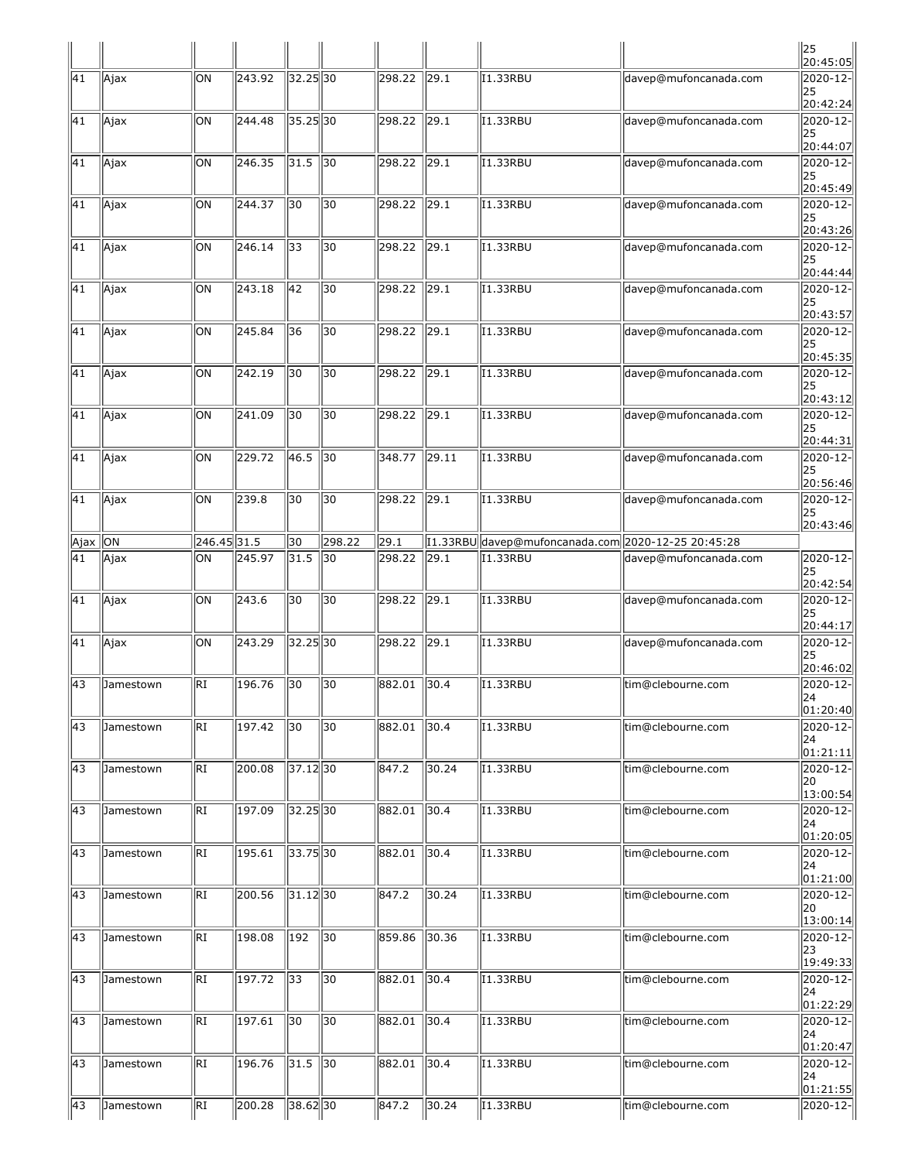|               |           |                 |        |                    |                 |        |               |                                                    |                       | $\parallel$ 25<br>20:45:05  |
|---------------|-----------|-----------------|--------|--------------------|-----------------|--------|---------------|----------------------------------------------------|-----------------------|-----------------------------|
| 41            | Ajax      | ЮN              | 243.92 | $32.25$ 30         |                 | 298.22 | 29.1          | I1.33RBU                                           | davep@mufoncanada.com | 2020-12-<br>25<br>20:42:24  |
| 41            | Ajax      | ON              | 244.48 | $35.25$ 30         |                 | 298.22 | $\vert$ 29.1  | I1.33RBU                                           | davep@mufoncanada.com | 2020-12-<br>25<br>20:44:07  |
| 41            | Ajax      | ЮN              | 246.35 | $\vert 31.5 \vert$ | $\parallel$ 30  | 298.22 | $\vert$ 29.1  | I1.33RBU                                           | davep@mufoncanada.com | 2020-12-<br>25<br>20:45:49  |
| 41            | Ajax      | ЮN              | 244.37 | $\overline{30}$    | 30              | 298.22 | $\sqrt{29.1}$ | II.33RBU                                           | davep@mufoncanada.com | 2020-12-<br>25<br>20:43:26  |
| 41            | Ajax      | ON              | 246.14 | 33                 | 30              | 298.22 | $\ 29.1$      | I1.33RBU                                           | davep@mufoncanada.com | 2020-12-<br>25<br>20:44:44  |
| $\sqrt{41}$   | Ajax      | ON              | 243.18 | $\sqrt{42}$        | 30              | 298.22 | $\sqrt{29.1}$ | I1.33RBU                                           | davep@mufoncanada.com | 2020-12-<br>25<br>20:43:57  |
| 41            | Ajax      | ON              | 245.84 | 36                 | 30              | 298.22 | $\sqrt{29.1}$ | I1.33RBU                                           | davep@mufoncanada.com | 2020-12-<br>25<br>20:45:35  |
| 41            | Ajax      | ЮN              | 242.19 | $\overline{30}$    | $\overline{30}$ | 298.22 | 29.1          | 11.33RBU                                           | davep@mufoncanada.com | 2020-12-<br>25<br>20:43:12  |
| 41            | Ajax      | ЮN              | 241.09 | 30                 | 30              | 298.22 | $\sqrt{29.1}$ | 11.33RBU                                           | davep@mufoncanada.com | 2020-12-<br>25<br>20:44:31  |
| 41            | Ajax      | ЮN              | 229.72 | 46.5               | $\sqrt{30}$     | 348.77 | $\vert$ 29.11 | I1.33RBU                                           | davep@mufoncanada.com | 2020-12-<br>25<br>20:56:46  |
| 41            | Ajax      | ON              | 239.8  | 30                 | 30              | 298.22 | 29.1          | I1.33RBU                                           | davep@mufoncanada.com | 2020-12-<br>25<br>20:43:46  |
| $A$ jax $ ON$ |           | $246.45$ 31.5   |        | 30                 | 298.22          | 29.1   |               | [1.33RBU davep@mufoncanada.com 2020-12-25 20:45:28 |                       |                             |
| 41            | Ajax      | ON              | 245.97 | 31.5               | 30              | 298.22 | $\vert$ 29.1  | I1.33RBU                                           | davep@mufoncanada.com | 2020-12-<br>25<br>20:42:54  |
| 41            | Ajax      | ON              | 243.6  | 30                 | 30              | 298.22 | $\vert$ 29.1  | 11.33RBU                                           | davep@mufoncanada.com | 2020-12-<br> 25<br>20:44:17 |
| 41            | Ajax      | ЮN              | 243.29 | $32.25$ $30$       |                 | 298.22 | 29.1          | I1.33RBU                                           | davep@mufoncanada.com | 2020-12-<br>25<br>20:46:02  |
| 43            | Jamestown | kI              | 196.76 | $\overline{30}$    | $\overline{30}$ | 882.01 | 30.4          | I1.33RBU                                           | tim@clebourne.com     | 2020-12-<br>24<br> 01:20:40 |
| 43            | Jamestown | lri             | 197.42 | $\overline{30}$    | 30              | 882.01 | 30.4          | I1.33RBU                                           | tim@clebourne.com     | 2020-12-<br>24<br>01:21:11  |
| 43            | Jamestown | RI              | 200.08 | $37.12$ 30         |                 | 847.2  | 30.24         | 11.33RBU                                           | tim@clebourne.com     | 2020-12-<br>20<br> 13:00:54 |
| 43            | Jamestown | RI              | 197.09 | 32.25 30           |                 | 882.01 | $\vert$ 30.4  | I1.33RBU                                           | tim@clebourne.com     | 2020-12-<br>24<br>01:20:05  |
| 43            | Jamestown | RI              | 195.61 | 33.75 30           |                 | 882.01 | 30.4          | I1.33RBU                                           | tim@clebourne.com     | 2020-12-<br>24<br> 01:21:00 |
| 43            | Jamestown | RI              | 200.56 | $31.12$ 30         |                 | 847.2  | 30.24         | I1.33RBU                                           | tim@clebourne.com     | 2020-12-<br> 20<br>13:00:14 |
| 43            | Jamestown | $\overline{RI}$ | 198.08 | 192                | $\sqrt{30}$     | 859.86 | 30.36         | $\overline{11.33RB}$ U                             | tim@clebourne.com     | 2020-12-<br>23              |
| 43            | Jamestown | RI              | 197.72 | 33                 | 30              | 882.01 | $\vert$ 30.4  | $\sqrt{11.33RBU}$                                  | tim@clebourne.com     | 19:49:33<br>2020-12-<br>24  |
| 43            | Jamestown | RI              | 197.61 | 30                 | 30              | 882.01 | $\vert$ 30.4  | I1.33RBU                                           | tim@clebourne.com     | 01:22:29 <br>2020-12-<br>24 |
| 43            | Jamestown | RI              | 196.76 | $31.5$ 30          |                 | 882.01 | 30.4          | 11.33RBU                                           | tim@clebourne.com     | 01:20:47<br>2020-12-<br>24  |
| 43            | Jamestown | RI              | 200.28 | 38.6230            |                 | 847.2  | 30.24         | I1.33RBU                                           | tim@clebourne.com     | 01:21:55 <br>2020-12-       |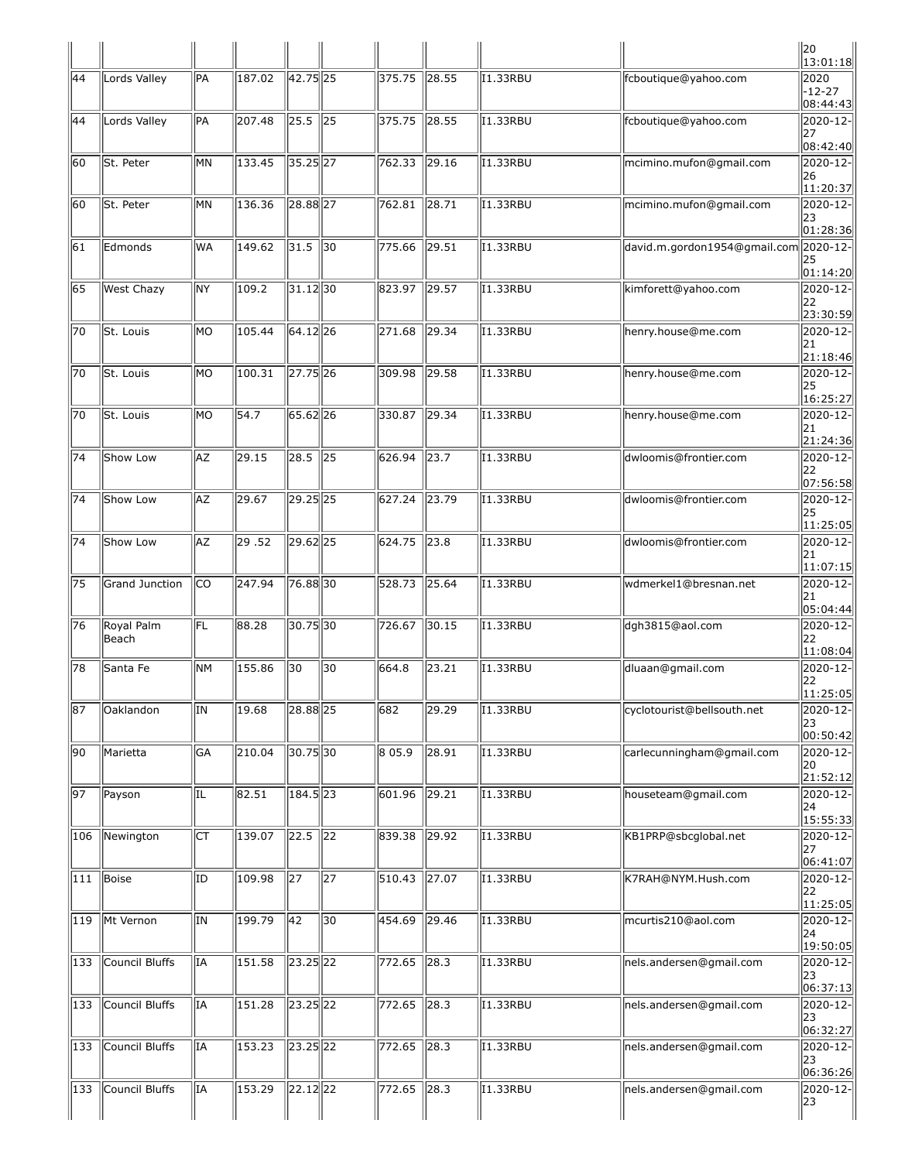|     |                     |     |                |                                    |                 |              |                |                 |                                       | $\begin{vmatrix} 20 \\ 13:01:18 \end{vmatrix}$                         |
|-----|---------------------|-----|----------------|------------------------------------|-----------------|--------------|----------------|-----------------|---------------------------------------|------------------------------------------------------------------------|
| 44  | Lords Valley        | PA  | 187.02         | 42.75 25                           |                 | 375.75       | $\vert$ 28.55  | I1.33RBU        | fcboutique@yahoo.com                  | 2020<br>-12-27<br>08:44:43                                             |
| 44  | Lords Valley        | PA  | 207.48         | $ 25.5 $ 25                        |                 | 375.75       | $\ 28.55$      | I1.33RBU        | fcboutique@yahoo.com                  | 2020-12-<br>27<br>08:42:40                                             |
| 60  | St. Peter           | MМ  | 133.45         | 35.25 27                           |                 | 762.33       | $\ 29.16$      | I1.33RBU        | mcimino.mufon@gmail.com               | $\sqrt{2020-12}$<br>26                                                 |
| 60  | St. Peter           | MМ  | 136.36         | 28.88 27                           |                 | 762.81       | $\sqrt{28.71}$ | <b>I1.33RBU</b> | mcimino.mufon@gmail.com               | 11:20:37<br>2020-12-                                                   |
| 61  | Edmonds             | WA  | 149.62         | 31.5                               | $\parallel$ 30  | 775.66       | $\ 29.51$      | <b>I1.33RBU</b> | david.m.gordon1954@gmail.com 2020-12- | 23<br>01:28:36                                                         |
|     |                     |     |                |                                    |                 |              |                |                 |                                       | 25<br> 01:14:20                                                        |
| 65  | West Chazy          | NY  | 109.2          | $31.12$  30                        |                 | 823.97       | $\ 29.57$      | I1.33RBU        | kimforett@yahoo.com                   | 2020-12-<br>22<br>23:30:59                                             |
| 70  | St. Louis           | MО  | 105.44         | 64.12 26                           |                 | 271.68       | $\ 29.34\ $    | I1.33RBU        | henry.house@me.com                    | 2020-12-<br> 21<br> 21:18:46                                           |
| 70  | St. Louis           | lмo | 100.31         | 27.75 26                           |                 | 309.98       | 29.58          | <b>I1.33RBU</b> | henry.house@me.com                    | $2020 - 12$<br> 25<br>16:25:27                                         |
| 70  | St. Louis           | lмo | 54.7           | 65.62 26                           |                 | 330.87       | 29.34          | <b>I1.33RBU</b> | henry.house@me.com                    | 2020-12-<br> 21                                                        |
| 74  | Show Low            | AZ  | 29.15          | $28.5$ 25                          |                 | 626.94       | $\vert$ 23.7   | 11.33RBU        | dwloomis@frontier.com                 | 21:24:36<br>2020-12-<br> 22<br>07:56:58                                |
| 74  | Show Low            | AZ  | 29.67          | 29.25 25                           |                 | 627.24 23.79 |                | 11.33RBU        | dwloomis@frontier.com                 | 2020-12-<br>25<br>11:25:05                                             |
| 74  | Show Low            | AZ  | $\sqrt{29.52}$ | 29.62 25                           |                 | 624.75       | $\ 23.8$       | 11.33RBU        | dwloomis@frontier.com                 | 2020-12-<br> 21 <br>11:07:15                                           |
| 75  | Grand Junction      | lco | 247.94         | 76.8830                            |                 | 528.73       | 725.64         | 11.33RBU        | wdmerkel1@bresnan.net                 | 2020-12-<br> 21<br>05:04:44                                            |
| 76  | Royal Palm<br>Beach | FL  | 88.28          | 30.7530                            |                 | 726.67       | $\vert$ 30.15  | I1.33RBU        | dgh3815@aol.com                       | $\sqrt{2020-12}$<br> 22                                                |
| 78  | Santa Fe            | NΜ  | 155.86         | 30                                 | 30              | 664.8        | 23.21          | I1.33RBU        | dluaan@gmail.com                      | 11:08:04<br>2020-12-<br> 22                                            |
| 87  | Oaklandon           | ΙN  | 19.68          | 28.88 25                           |                 | 682          | 29.29          | II.33RBU        | cyclotourist@bellsouth.net            | 11:25:05<br>2020-12-<br>$\begin{vmatrix} 23 \\ 00:50:42 \end{vmatrix}$ |
| 90  | Marietta            | GA  | 210.04         | $30.75$ 30                         |                 | 805.9        | $\sqrt{28.91}$ | <b>I1.33RBU</b> | carlecunningham@gmail.com             | 2020-12-<br>20                                                         |
| 97  | Payson              | IL  | 82.51          | $184.5$ 23                         |                 | 601.96       | 729.21         | <b>I1.33RBU</b> | houseteam@gmail.com                   | 21:52:12<br>$2020 - 12$<br>$\begin{array}{c}  24 15:55:33 \end{array}$ |
| 106 | Newington           | Iст | 139.07         | $\sqrt{22.5}$ 22                   |                 | 839.38       | $\sqrt{29.92}$ | <b>I1.33RBU</b> | KB1PRP@sbcglobal.net                  | 2020-12-<br>27                                                         |
| 111 | Boise               | ΙD  | 109.98         | 27                                 | 27              | 510.43       | $\ 27.07$      | 11.33RBU        | K7RAH@NYM.Hush.com                    | 06:41:07<br>2020-12-<br>22                                             |
| 119 | Mt Vernon           | ΙN  | 199.79         | $\sqrt{42}$                        | $\overline{30}$ | 454.69       | $\sqrt{29.46}$ | <b>I1.33RBU</b> | mcurtis210@aol.com                    | 11:25:05<br>2020-12-<br> 24                                            |
| 133 | Council Bluffs      | İΙA | 151.58         | 23.25 22                           |                 | 772.65       | $\sqrt{28.3}$  | 11.33RBU        | nels.andersen@gmail.com               | 19:50:05<br>2020-12-                                                   |
| 133 | Council Bluffs      | IA  | 151.28         | $23.25$ <sub>22</sub>              |                 | 772.65       | $\ 28.3$       | <b>I1.33RBU</b> | nels.andersen@gmail.com               | 23<br> 06:37:13 <br>2020-12-                                           |
| 133 | Council Bluffs      | lΙA | 153.23         | $\overline{23.25}$ $\overline{22}$ |                 | 772.65       | $\sqrt{28.3}$  | <b>I1.33RBU</b> | nels.andersen@gmail.com               | 23<br>06:32:27<br>2020-12-                                             |
|     |                     |     |                |                                    |                 |              |                |                 |                                       | 23<br>06:36:26                                                         |
| 133 | Council Bluffs      | İΙA | 153.29         | $22.12$ 22                         |                 | 772.65 28.3  |                | 11.33RBU        | nels.andersen@gmail.com               | 2020-12-<br>23                                                         |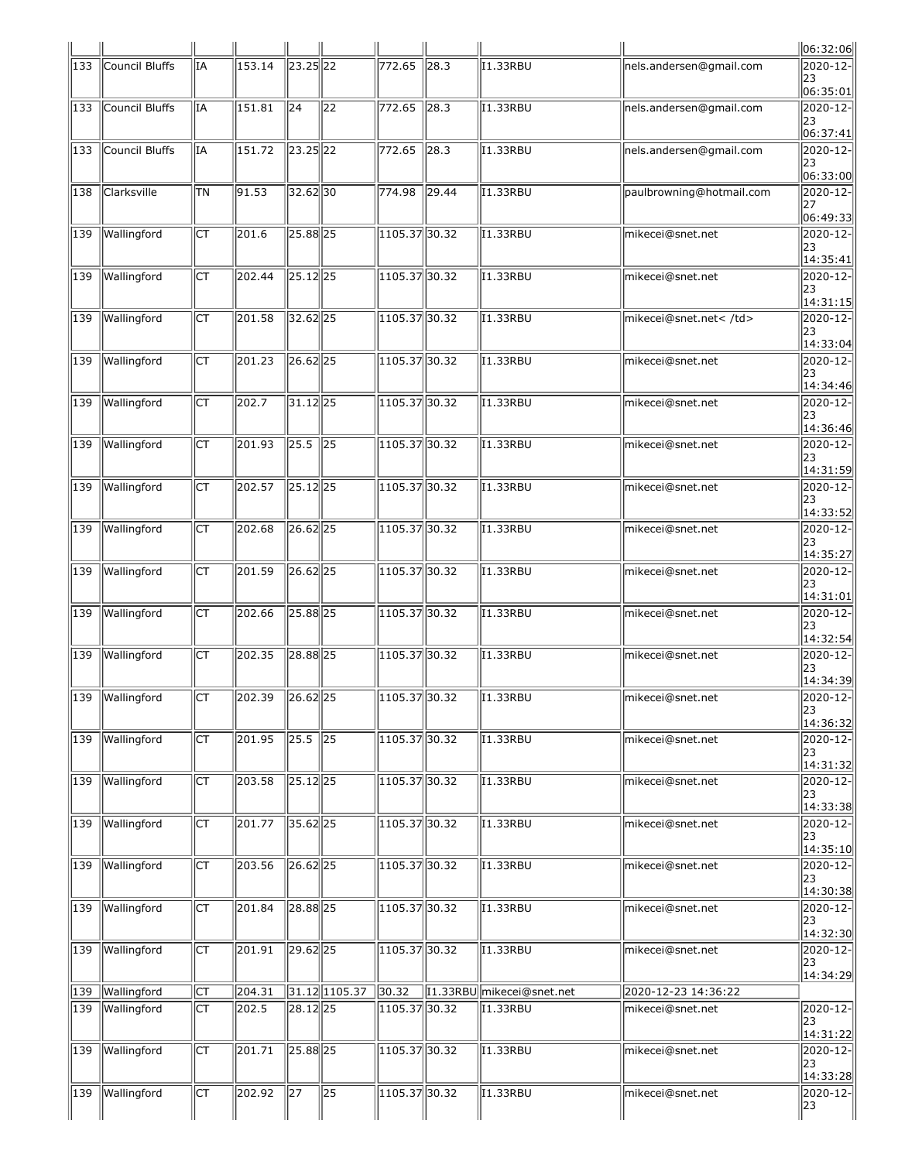|                  |                 |                        |        |                       |                 |                 |                |                           |                          | 06:32:06                                 |
|------------------|-----------------|------------------------|--------|-----------------------|-----------------|-----------------|----------------|---------------------------|--------------------------|------------------------------------------|
| 133              | Council Bluffs  | IA                     | 153.14 | 23.25 22              |                 | 772.65          | $\ 28.3$       | I1.33RBU                  | nels.andersen@gmail.com  | 2020-12-<br>23<br> 06:35:01              |
| 133              | Council Bluffs  | IA                     | 151.81 | 24                    | 22              | 772.65          | $\vert$ 28.3   | I1.33RBU                  | nels.andersen@gmail.com  | 2020-12-<br>23<br> 06:37:41              |
| 133              | Council Bluffs  | IΑ                     | 151.72 | 23.25 22              |                 | 772.65          | $\sqrt{28.3}$  | I1.33RBU                  | nels.andersen@gmail.com  | $2020 - 12 -$<br>23<br>06:33:00          |
| 138              | Clarksville     | lτn                    | 91.53  | $32.62$ 30            |                 | $\sqrt{774.98}$ | $\sqrt{29.44}$ | <b>I1.33RBU</b>           | paulbrowning@hotmail.com | 2020-12-<br>27<br> 06:49:33              |
| 139              | Wallingford     | Iст                    | 201.6  | $25.88$ <sub>25</sub> |                 | 1105.37 30.32   |                | <b>I1.33RBU</b>           | mikecei@snet.net         | $2020 - 12 -$<br>23<br>14:35:41          |
| 139              | Wallingford     | Iст                    | 202.44 | $25.12$ 25            |                 | $1105.37$ 30.32 |                | <b>I1.33RBU</b>           | mikecei@snet.net         | 2020-12-<br>23<br> 14:31:15              |
| 139              | Wallingford     | Iст                    | 201.58 | $32.62$ 25            |                 | $1105.37$ 30.32 |                | <b>I1.33RBU</b>           | mikecei@snet.net         | 2020-12-<br>23<br>14:33:04               |
| 139              | Wallingford     | Iст                    | 201.23 | $26.62$ <sub>25</sub> |                 | $1105.37$ 30.32 |                | <b>I1.33RBU</b>           | mikecei@snet.net         | 2020-12-<br>23<br> 14:34:46              |
| 139              | Wallingford     | IСТ                    | 202.7  | $31.12$ 25            |                 | $1105.37$ 30.32 |                | I1.33RBU                  | mikecei@snet.net         | 2020-12-<br>23<br>14:36:46               |
| 139              | Wallingford     | ∣ст                    | 201.93 | 25.5                  | $\sqrt{25}$     | 1105.37 30.32   |                | <b>I1.33RBU</b>           | mikecei@snet.net         | $2020 - 12$<br>23<br>14:31:59            |
| $\overline{1}39$ | Wallingford     | Iст                    | 202.57 | $25.12$ 25            |                 | 1105.37 30.32   |                | <b>I1.33RBU</b>           | mikecei@snet.net         | 2020-12-<br>23<br> 14:33:52              |
| 139              | Wallingford     | СT                     | 202.68 | $26.62$ <sub>25</sub> |                 | 1105.37 30.32   |                | <b>I1.33RBU</b>           | mikecei@snet.net         | $2020 - 12$<br>23<br>14:35:27            |
| 139              | Wallingford     | Iст                    | 201.59 | $26.62$ <sub>25</sub> |                 | 1105.37 30.32   |                | I1.33RBU                  | mikecei@snet.net         | 2020-12-<br>23<br>$\vert 14:31:01 \vert$ |
| 139              | Wallingford     | Iст                    | 202.66 | 25.88 25              |                 | 1105.37 30.32   |                | <b>I1.33RBU</b>           | mikecei@snet.net         | 2020-12-<br>23<br>14:32:54               |
| 139              | Wallingford     | Iст                    | 202.35 | 28.88 25              |                 | 1105.37 30.32   |                | I1.33RBU                  | mikecei@snet.net         | $2020 - 12$<br>23<br> 14:34:39           |
|                  | 139 Wallingford | llct                   | 202.39 | $26.62$ <sub>25</sub> |                 | 1105.37 30.32   |                | 1.33RBU                   | mikecei@snet.net         | $ 2020 - 12 -  $<br>23<br> 14:36:32      |
| 139              | Wallingford     | $\overline{\text{CT}}$ | 201.95 | $\overline{25.5}$ 25  |                 | 105.37 30.32    |                | I1.33RBU                  | mikecei@snet.net         | 2020-12-<br>23<br>14:31:32               |
| 139              | Wallingford     | IСТ                    | 203.58 | $25.12$ 25            |                 | 1105.37 30.32   |                | I1.33RBU                  | mikecei@snet.net         | 2020-12-<br>23<br> 14:33:38              |
| 139              | Wallingford     | Iст                    | 201.77 | $35.62$ <sub>25</sub> |                 | $1105.37$ 30.32 |                | I1.33RBU                  | mikecei@snet.net         | 2020-12-<br>23<br>14:35:10               |
| 139              | Wallingford     | $\overline{\text{CT}}$ | 203.56 | $26.62$ <sub>25</sub> |                 | $1105.37$ 30.32 |                | <b>I1.33RBU</b>           | mikecei@snet.net         | 2020-12-<br>23<br> 14:30:38              |
| 139              | Wallingford     | Iст                    | 201.84 | $28.88$ <sub>25</sub> |                 | $1105.37$ 30.32 |                | <b>I1.33RBU</b>           | mikecei@snet.net         | 2020-12-<br>23<br>14:32:30               |
| 139              | Wallingford     | Iст                    | 201.91 | $\sqrt{29.62}$ 25     |                 | $1105.37$ 30.32 |                | I1.33RBU                  | mikecei@snet.net         | 2020-12-<br>23<br>14:34:29               |
| 139              | Wallingford     | $\overline{\text{CT}}$ | 204.31 |                       | 31.12 1105.37   | 30.32           |                | 11.33RBU mikecei@snet.net | 2020-12-23 14:36:22      |                                          |
|                  | 139 Wallingford | ∣ст                    | 202.5  | $28.12$ 25            |                 | $1105.37$ 30.32 |                | I1.33RBU                  | mikecei@snet.net         | 2020-12-<br>23                           |
| 139              | Wallingford     | $\overline{\text{CT}}$ | 201.71 | $25.88$ <sub>25</sub> |                 | $1105.37$ 30.32 |                | I1.33RBU                  | mikecei@snet.net         | 14:31:22<br>2020-12-<br>23               |
| 139              | Wallingford     | Iст                    | 202.92 | 27                    | $\overline{25}$ | $1105.37$ 30.32 |                | I1.33RBU                  | mikecei@snet.net         | 14:33:28 <br>2020-12-<br>23              |